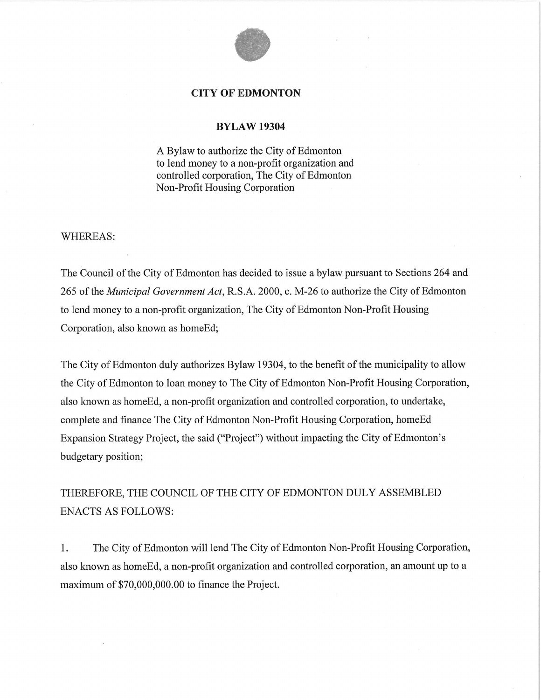

## **CITY OF EDMONTON**

## **BYLAW 19304**

A Bylaw to authorize the City of Edmonton to lend money to a non-profit organization and controlled corporation, The City of Edmonton Non-Profit Housing Corporation

#### WHEREAS:

The Council of the City of Edmonton has decided to issue a bylaw pursuant to Sections 264 and 265 of the *Municipal Government Act,* R.S.A. 2000, c. M-26 to authorize the City of Edmonton to lend money to a non-profit organization, The City of Edmonton Non-Profit Housing Corporation, also known as homeEd;

The City of Edmonton duly authorizes Bylaw 19304, to the benefit of the municipality to allow the City of Edmonton to loan money to The City of Edmonton Non-Profit Housing Corporation, also known as homeEd, a non-profit organization and controlled corporation, to undertake, complete and finance The City of Edmonton Non-Profit Housing Corporation, homeEd Expansion Strategy Project, the said ("Project") without impacting the City of Edmonton's budgetary position;

THEREFORE, THE COUNCIL OF THE CITY OF EDMONTON DULY ASSEMBLED ENACTS AS FOLLOWS:

1. The City of Edmonton will lend The City of Edmonton Non-Profit Housing Corporation, also known as homeEd, a non-profit organization and controlled corporation, an amount up to a maximum of \$70,000,000.00 to finance the Project.